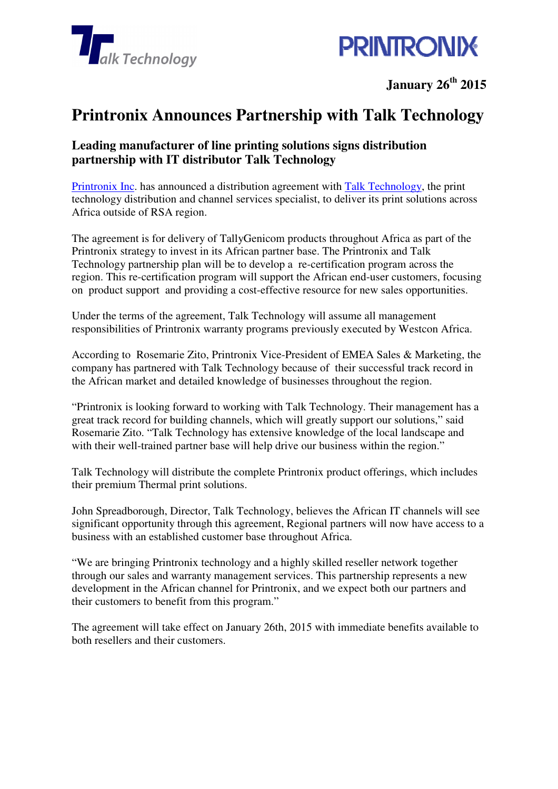



**January 26th 2015** 

## **Printronix Announces Partnership with Talk Technology**

## **Leading manufacturer of line printing solutions signs distribution partnership with IT distributor Talk Technology**

Printronix Inc. has announced a distribution agreement with Talk Technology, the print technology distribution and channel services specialist, to deliver its print solutions across Africa outside of RSA region.

The agreement is for delivery of TallyGenicom products throughout Africa as part of the Printronix strategy to invest in its African partner base. The Printronix and Talk Technology partnership plan will be to develop a re-certification program across the region. This re-certification program will support the African end-user customers, focusing on product support and providing a cost-effective resource for new sales opportunities.

Under the terms of the agreement, Talk Technology will assume all management responsibilities of Printronix warranty programs previously executed by Westcon Africa.

According to Rosemarie Zito, Printronix Vice-President of EMEA Sales & Marketing, the company has partnered with Talk Technology because of their successful track record in the African market and detailed knowledge of businesses throughout the region.

"Printronix is looking forward to working with Talk Technology. Their management has a great track record for building channels, which will greatly support our solutions," said Rosemarie Zito. "Talk Technology has extensive knowledge of the local landscape and with their well-trained partner base will help drive our business within the region."

Talk Technology will distribute the complete Printronix product offerings, which includes their premium Thermal print solutions.

John Spreadborough, Director, Talk Technology, believes the African IT channels will see significant opportunity through this agreement, Regional partners will now have access to a business with an established customer base throughout Africa.

"We are bringing Printronix technology and a highly skilled reseller network together through our sales and warranty management services. This partnership represents a new development in the African channel for Printronix, and we expect both our partners and their customers to benefit from this program."

The agreement will take effect on January 26th, 2015 with immediate benefits available to both resellers and their customers.